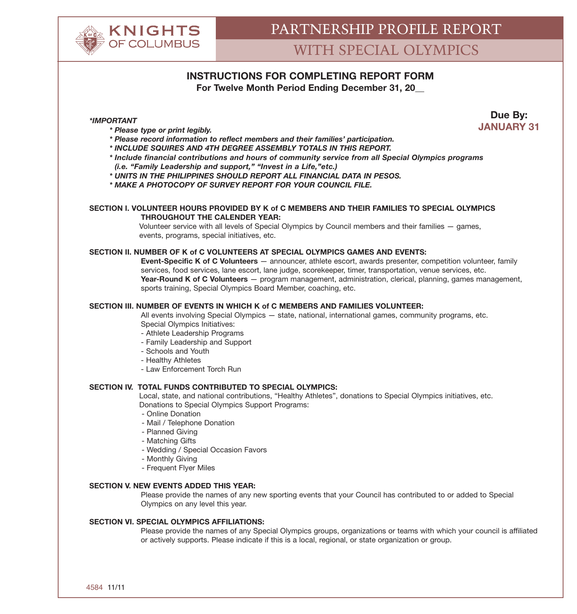

# **INSTRUCTIONS FOR COMPLETING REPORT FORM**

**For Twelve Month Period Ending December 31, 20\_\_**

**Due By: JANUARY 31** *\*IMPORTANT*

- *\* Please type or print legibly.*
- *\* Please record information to reflect members and their families' participation.*
- *\* INCLUDE SQUIRES AND 4TH DEGREE ASSEMBLY TOTALS IN THIS REPORT.*
- *\* Include financial contributions and hours of community service from all Special Olympics programs (i.e. "Family Leadership and support," "Invest in a Life,"etc.)*
- *\* UNITS IN THE PHILIPPINES SHOULD REPORT ALL FINANCIAL DATA IN PESOS.*
- *\* MAKE A PHOTOCOPY OF SURVEY REPORT FOR YOUR COUNCIL FILE.*

#### **SECTION I. VOLUNTEER HOURS PROVIDED BY K of C MEMBERS AND THEIR FAMILIES TO SPECIAL OLYMPICS THROUGHOUT THE CALENDER YEAR:**

Volunteer service with all levels of Special Olympics by Council members and their families - games, events, programs, special initiatives, etc.

## **SECTION II. NUMBER OF K of C VOLUNTEERS AT SPECIAL OLYMPICS GAMES AND EVENTS:**

**Event-Specific K of C Volunteers** — announcer, athlete escort, awards presenter, competition volunteer, family services, food services, lane escort, lane judge, scorekeeper, timer, transportation, venue services, etc. **Year-Round K of C Volunteers** — program management, administration, clerical, planning, games management, sports training, Special Olympics Board Member, coaching, etc.

#### **SECTION III. NUMBER OF EVENTS IN WHICH K of C MEMBERS AND FAMILIES VOLUNTEER:**

All events involving Special Olympics — state, national, international games, community programs, etc. Special Olympics Initiatives:

- Athlete Leadership Programs
- Family Leadership and Support
- Schools and Youth
- Healthy Athletes
- Law Enforcement Torch Run

### **SECTION IV. TOTAL FUNDS CONTRIBUTED TO SPECIAL OLYMPICS:**

Local, state, and national contributions, "Healthy Athletes", donations to Special Olympics initiatives, etc. Donations to Special Olympics Support Programs:

- Online Donation
- Mail / Telephone Donation
- Planned Giving
- Matching Gifts
- Wedding / Special Occasion Favors
- Monthly Giving
- Frequent Flyer Miles

#### **SECTION V. NEW EVENTS ADDED THIS YEAR:**

Please provide the names of any new sporting events that your Council has contributed to or added to Special Olympics on any level this year.

#### **SECTION VI. SPECIAL OLYMPICS AFFILIATIONS:**

Please provide the names of any Special Olympics groups, organizations or teams with which your council is affiliated or actively supports. Please indicate if this is a local, regional, or state organization or group.